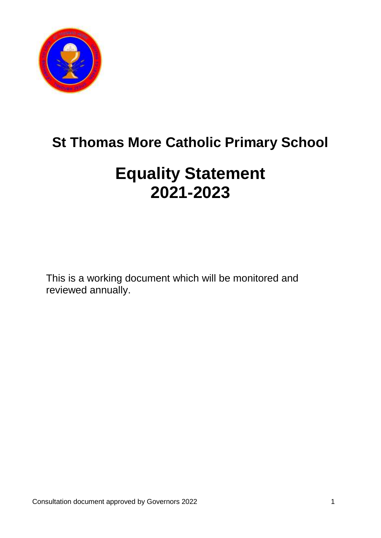

# **St Thomas More Catholic Primary School**

# **Equality Statement 2021-2023**

This is a working document which will be monitored and reviewed annually.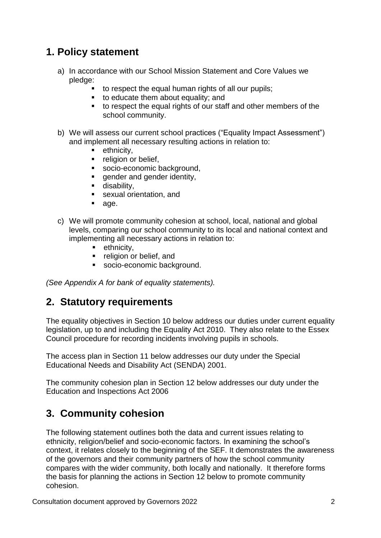# **1. Policy statement**

- a) In accordance with our School Mission Statement and Core Values we pledge:
	- to respect the equal human rights of all our pupils;
	- to educate them about equality; and
	- to respect the equal rights of our staff and other members of the school community.
- b) We will assess our current school practices ("Equality Impact Assessment") and implement all necessary resulting actions in relation to:
	- ethnicity,
	- **•** religion or belief.
	- socio-economic background,
	- **qender and gender identity,**
	- **disability.**
	- **sexual orientation, and**
	- age.
- c) We will promote community cohesion at school, local, national and global levels, comparing our school community to its local and national context and implementing all necessary actions in relation to:
	- $\blacksquare$  ethnicity,
	- **F** religion or belief, and
	- socio-economic background.

*(See Appendix A for bank of equality statements).*

### **2. Statutory requirements**

The equality objectives in Section 10 below address our duties under current equality legislation, up to and including the Equality Act 2010. They also relate to the Essex Council procedure for recording incidents involving pupils in schools.

The access plan in Section 11 below addresses our duty under the Special Educational Needs and Disability Act (SENDA) 2001.

The community cohesion plan in Section 12 below addresses our duty under the Education and Inspections Act 2006

# **3. Community cohesion**

The following statement outlines both the data and current issues relating to ethnicity, religion/belief and socio-economic factors. In examining the school's context, it relates closely to the beginning of the SEF. It demonstrates the awareness of the governors and their community partners of how the school community compares with the wider community, both locally and nationally. It therefore forms the basis for planning the actions in Section 12 below to promote community cohesion.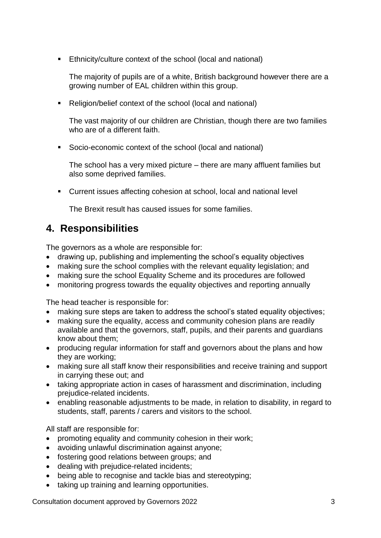Ethnicity/culture context of the school (local and national)

The majority of pupils are of a white, British background however there are a growing number of EAL children within this group.

■ Religion/belief context of the school (local and national)

The vast majority of our children are Christian, though there are two families who are of a different faith.

Socio-economic context of the school (local and national)

The school has a very mixed picture – there are many affluent families but also some deprived families.

Current issues affecting cohesion at school, local and national level

The Brexit result has caused issues for some families.

# **4. Responsibilities**

The governors as a whole are responsible for:

- drawing up, publishing and implementing the school's equality objectives
- making sure the school complies with the relevant equality legislation; and
- making sure the school Equality Scheme and its procedures are followed
- monitoring progress towards the equality objectives and reporting annually

The head teacher is responsible for:

- making sure steps are taken to address the school's stated equality objectives:
- making sure the equality, access and community cohesion plans are readily available and that the governors, staff, pupils, and their parents and guardians know about them;
- producing regular information for staff and governors about the plans and how they are working;
- making sure all staff know their responsibilities and receive training and support in carrying these out; and
- taking appropriate action in cases of harassment and discrimination, including prejudice-related incidents.
- enabling reasonable adjustments to be made, in relation to disability, in regard to students, staff, parents / carers and visitors to the school.

All staff are responsible for:

- promoting equality and community cohesion in their work;
- avoiding unlawful discrimination against anyone;
- fostering good relations between groups; and
- dealing with prejudice-related incidents;
- being able to recognise and tackle bias and stereotyping;
- taking up training and learning opportunities.

Consultation document approved by Governors 2022 3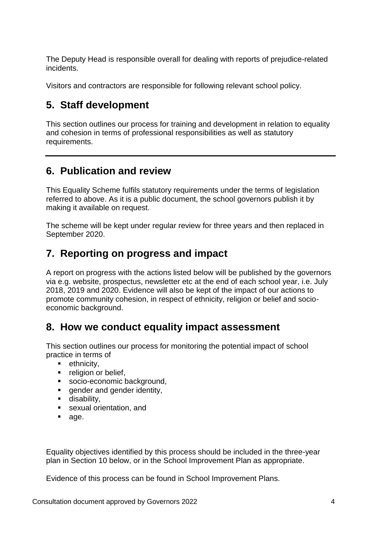The Deputy Head is responsible overall for dealing with reports of prejudice-related incidents.

Visitors and contractors are responsible for following relevant school policy.

# **5. Staff development**

This section outlines our process for training and development in relation to equality and cohesion in terms of professional responsibilities as well as statutory requirements.

# **6. Publication and review**

This Equality Scheme fulfils statutory requirements under the terms of legislation referred to above. As it is a public document, the school governors publish it by making it available on request.

The scheme will be kept under regular review for three years and then replaced in September 2020.

# **7. Reporting on progress and impact**

A report on progress with the actions listed below will be published by the governors via e.g. website, prospectus, newsletter etc at the end of each school year, i.e. July 2018, 2019 and 2020. Evidence will also be kept of the impact of our actions to promote community cohesion, in respect of ethnicity, religion or belief and socioeconomic background.

# **8. How we conduct equality impact assessment**

This section outlines our process for monitoring the potential impact of school practice in terms of

- $\blacksquare$  ethnicity,
- **•** religion or belief,
- socio-economic background,
- **e** gender and gender identity,
- **disability,**
- **sexual orientation, and**
- age.

Equality objectives identified by this process should be included in the three-year plan in Section 10 below, or in the School Improvement Plan as appropriate.

Evidence of this process can be found in School Improvement Plans.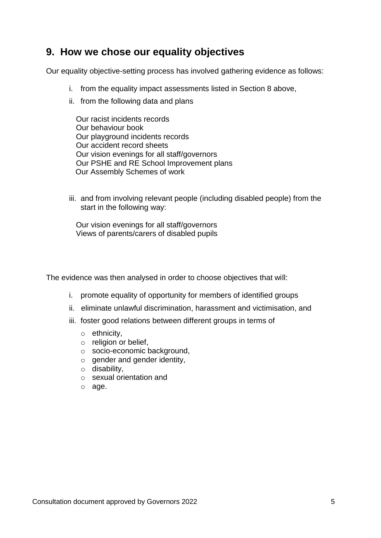# **9. How we chose our equality objectives**

Our equality objective-setting process has involved gathering evidence as follows:

- i. from the equality impact assessments listed in Section 8 above,
- ii. from the following data and plans

 Our racist incidents records Our behaviour book Our playground incidents records Our accident record sheets Our vision evenings for all staff/governors Our PSHE and RE School Improvement plans Our Assembly Schemes of work

iii. and from involving relevant people (including disabled people) from the start in the following way:

 Our vision evenings for all staff/governors Views of parents/carers of disabled pupils

The evidence was then analysed in order to choose objectives that will:

- i. promote equality of opportunity for members of identified groups
- ii. eliminate unlawful discrimination, harassment and victimisation, and
- iii. foster good relations between different groups in terms of
	- o ethnicity,
	- o religion or belief,
	- o socio-economic background,
	- $\circ$  gender and gender identity,
	- o disability,
	- o sexual orientation and
	- o age.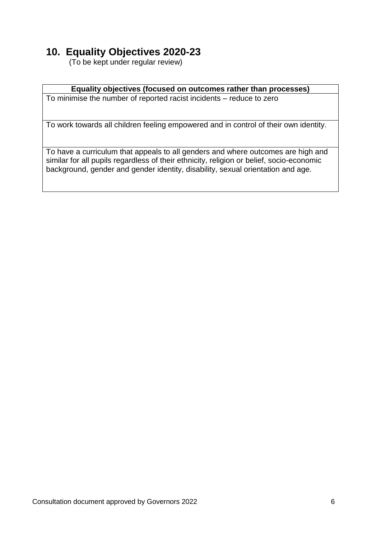# **10. Equality Objectives 2020-23**

(To be kept under regular review)

### **Equality objectives (focused on outcomes rather than processes)**

To minimise the number of reported racist incidents – reduce to zero

To work towards all children feeling empowered and in control of their own identity.

To have a curriculum that appeals to all genders and where outcomes are high and similar for all pupils regardless of their ethnicity, religion or belief, socio-economic background, gender and gender identity, disability, sexual orientation and age.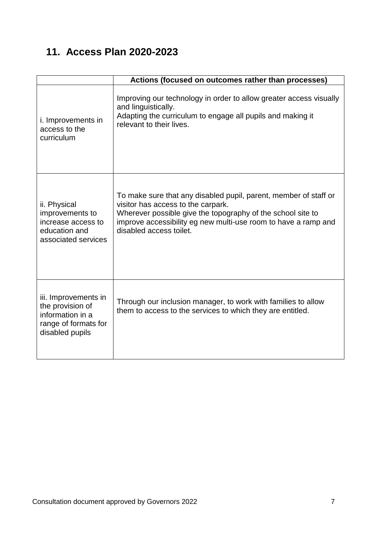# **11. Access Plan 2020-2023**

|                                                                                                         | Actions (focused on outcomes rather than processes)                                                                                                                                                                                                                |
|---------------------------------------------------------------------------------------------------------|--------------------------------------------------------------------------------------------------------------------------------------------------------------------------------------------------------------------------------------------------------------------|
| i. Improvements in<br>access to the<br>curriculum                                                       | Improving our technology in order to allow greater access visually<br>and linguistically.<br>Adapting the curriculum to engage all pupils and making it<br>relevant to their lives.                                                                                |
| ii. Physical<br>improvements to<br>increase access to<br>education and<br>associated services           | To make sure that any disabled pupil, parent, member of staff or<br>visitor has access to the carpark.<br>Wherever possible give the topography of the school site to<br>improve accessibility eg new multi-use room to have a ramp and<br>disabled access toilet. |
| iii. Improvements in<br>the provision of<br>information in a<br>range of formats for<br>disabled pupils | Through our inclusion manager, to work with families to allow<br>them to access to the services to which they are entitled.                                                                                                                                        |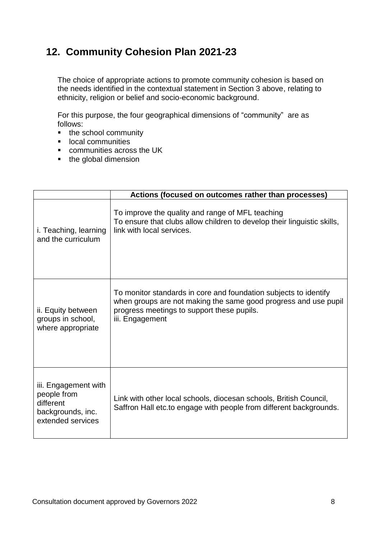# **12. Community Cohesion Plan 2021-23**

The choice of appropriate actions to promote community cohesion is based on the needs identified in the contextual statement in Section 3 above, relating to ethnicity, religion or belief and socio-economic background.

For this purpose, the four geographical dimensions of "community" are as follows:

- the school community
- **Inducal communities**
- communities across the UK
- the global dimension

|                                                                                            | Actions (focused on outcomes rather than processes)                                                                                                                                                  |
|--------------------------------------------------------------------------------------------|------------------------------------------------------------------------------------------------------------------------------------------------------------------------------------------------------|
| i. Teaching, learning<br>and the curriculum                                                | To improve the quality and range of MFL teaching<br>To ensure that clubs allow children to develop their linguistic skills,<br>link with local services.                                             |
| ii. Equity between<br>groups in school,<br>where appropriate                               | To monitor standards in core and foundation subjects to identify<br>when groups are not making the same good progress and use pupil<br>progress meetings to support these pupils.<br>iii. Engagement |
| iii. Engagement with<br>people from<br>different<br>backgrounds, inc.<br>extended services | Link with other local schools, diocesan schools, British Council,<br>Saffron Hall etc.to engage with people from different backgrounds.                                                              |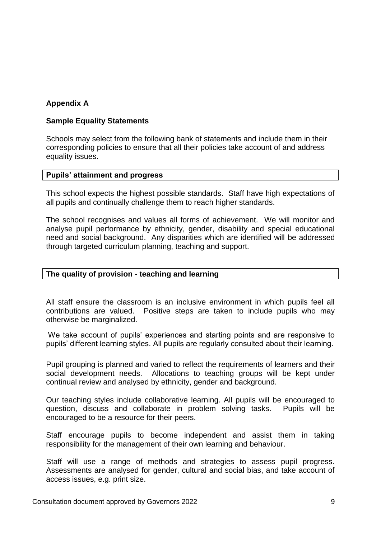### **Appendix A**

### **Sample Equality Statements**

Schools may select from the following bank of statements and include them in their corresponding policies to ensure that all their policies take account of and address equality issues.

### **Pupils' attainment and progress**

This school expects the highest possible standards. Staff have high expectations of all pupils and continually challenge them to reach higher standards.

The school recognises and values all forms of achievement. We will monitor and analyse pupil performance by ethnicity, gender, disability and special educational need and social background. Any disparities which are identified will be addressed through targeted curriculum planning, teaching and support.

### **The quality of provision - teaching and learning**

All staff ensure the classroom is an inclusive environment in which pupils feel all contributions are valued. Positive steps are taken to include pupils who may otherwise be marginalized.

We take account of pupils' experiences and starting points and are responsive to pupils' different learning styles. All pupils are regularly consulted about their learning.

Pupil grouping is planned and varied to reflect the requirements of learners and their social development needs. Allocations to teaching groups will be kept under continual review and analysed by ethnicity, gender and background.

Our teaching styles include collaborative learning. All pupils will be encouraged to question, discuss and collaborate in problem solving tasks. Pupils will be encouraged to be a resource for their peers.

Staff encourage pupils to become independent and assist them in taking responsibility for the management of their own learning and behaviour.

Staff will use a range of methods and strategies to assess pupil progress. Assessments are analysed for gender, cultural and social bias, and take account of access issues, e.g. print size.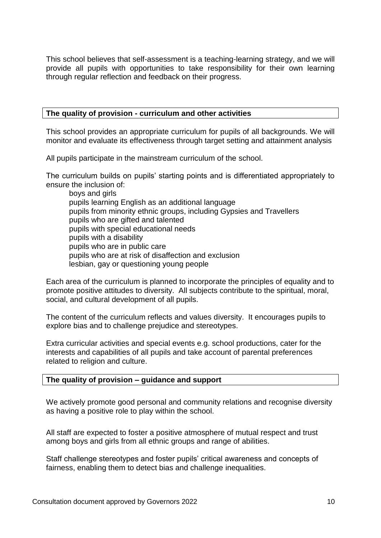This school believes that self-assessment is a teaching-learning strategy, and we will provide all pupils with opportunities to take responsibility for their own learning through regular reflection and feedback on their progress.

### **The quality of provision - curriculum and other activities**

This school provides an appropriate curriculum for pupils of all backgrounds. We will monitor and evaluate its effectiveness through target setting and attainment analysis

All pupils participate in the mainstream curriculum of the school.

The curriculum builds on pupils' starting points and is differentiated appropriately to ensure the inclusion of:

boys and girls pupils learning English as an additional language pupils from minority ethnic groups, including Gypsies and Travellers pupils who are gifted and talented pupils with special educational needs pupils with a disability pupils who are in public care pupils who are at risk of disaffection and exclusion lesbian, gay or questioning young people

Each area of the curriculum is planned to incorporate the principles of equality and to promote positive attitudes to diversity. All subjects contribute to the spiritual, moral, social, and cultural development of all pupils.

The content of the curriculum reflects and values diversity. It encourages pupils to explore bias and to challenge prejudice and stereotypes.

Extra curricular activities and special events e.g. school productions, cater for the interests and capabilities of all pupils and take account of parental preferences related to religion and culture.

### **The quality of provision – guidance and support**

We actively promote good personal and community relations and recognise diversity as having a positive role to play within the school.

All staff are expected to foster a positive atmosphere of mutual respect and trust among boys and girls from all ethnic groups and range of abilities.

Staff challenge stereotypes and foster pupils' critical awareness and concepts of fairness, enabling them to detect bias and challenge inequalities.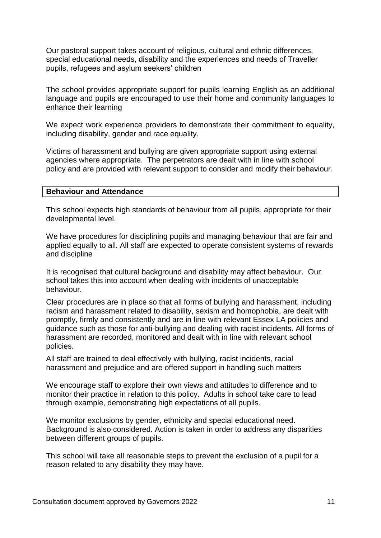Our pastoral support takes account of religious, cultural and ethnic differences, special educational needs, disability and the experiences and needs of Traveller pupils, refugees and asylum seekers' children

The school provides appropriate support for pupils learning English as an additional language and pupils are encouraged to use their home and community languages to enhance their learning

We expect work experience providers to demonstrate their commitment to equality, including disability, gender and race equality.

Victims of harassment and bullying are given appropriate support using external agencies where appropriate. The perpetrators are dealt with in line with school policy and are provided with relevant support to consider and modify their behaviour.

#### **Behaviour and Attendance**

This school expects high standards of behaviour from all pupils, appropriate for their developmental level.

We have procedures for disciplining pupils and managing behaviour that are fair and applied equally to all. All staff are expected to operate consistent systems of rewards and discipline

It is recognised that cultural background and disability may affect behaviour. Our school takes this into account when dealing with incidents of unacceptable behaviour.

Clear procedures are in place so that all forms of bullying and harassment, including racism and harassment related to disability, sexism and homophobia, are dealt with promptly, firmly and consistently and are in line with relevant Essex LA policies and guidance such as those for anti-bullying and dealing with racist incidents. All forms of harassment are recorded, monitored and dealt with in line with relevant school policies.

All staff are trained to deal effectively with bullying, racist incidents, racial harassment and prejudice and are offered support in handling such matters

We encourage staff to explore their own views and attitudes to difference and to monitor their practice in relation to this policy. Adults in school take care to lead through example, demonstrating high expectations of all pupils.

We monitor exclusions by gender, ethnicity and special educational need. Background is also considered. Action is taken in order to address any disparities between different groups of pupils.

This school will take all reasonable steps to prevent the exclusion of a pupil for a reason related to any disability they may have.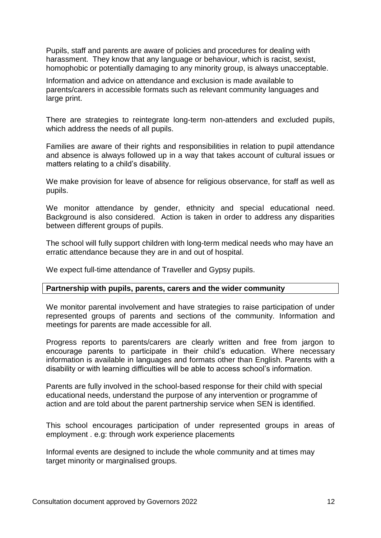Pupils, staff and parents are aware of policies and procedures for dealing with harassment. They know that any language or behaviour, which is racist, sexist, homophobic or potentially damaging to any minority group, is always unacceptable.

Information and advice on attendance and exclusion is made available to parents/carers in accessible formats such as relevant community languages and large print.

There are strategies to reintegrate long-term non-attenders and excluded pupils, which address the needs of all pupils.

Families are aware of their rights and responsibilities in relation to pupil attendance and absence is always followed up in a way that takes account of cultural issues or matters relating to a child's disability.

We make provision for leave of absence for religious observance, for staff as well as pupils.

We monitor attendance by gender, ethnicity and special educational need. Background is also considered. Action is taken in order to address any disparities between different groups of pupils.

The school will fully support children with long-term medical needs who may have an erratic attendance because they are in and out of hospital.

We expect full-time attendance of Traveller and Gypsy pupils.

### **Partnership with pupils, parents, carers and the wider community**

We monitor parental involvement and have strategies to raise participation of under represented groups of parents and sections of the community. Information and meetings for parents are made accessible for all.

Progress reports to parents/carers are clearly written and free from jargon to encourage parents to participate in their child's education. Where necessary information is available in languages and formats other than English. Parents with a disability or with learning difficulties will be able to access school's information.

Parents are fully involved in the school-based response for their child with special educational needs, understand the purpose of any intervention or programme of action and are told about the parent partnership service when SEN is identified.

This school encourages participation of under represented groups in areas of employment . e.g: through work experience placements

Informal events are designed to include the whole community and at times may target minority or marginalised groups.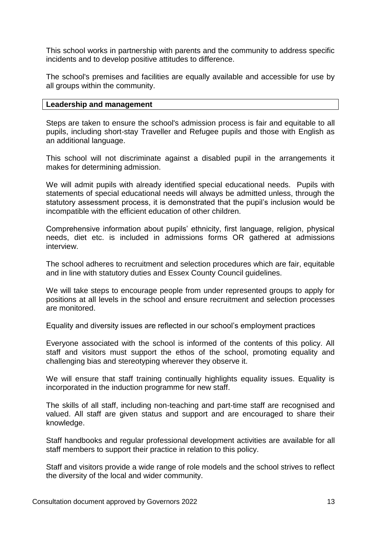This school works in partnership with parents and the community to address specific incidents and to develop positive attitudes to difference.

The school's premises and facilities are equally available and accessible for use by all groups within the community.

### **Leadership and management**

Steps are taken to ensure the school's admission process is fair and equitable to all pupils, including short-stay Traveller and Refugee pupils and those with English as an additional language.

This school will not discriminate against a disabled pupil in the arrangements it makes for determining admission.

We will admit pupils with already identified special educational needs. Pupils with statements of special educational needs will always be admitted unless, through the statutory assessment process, it is demonstrated that the pupil's inclusion would be incompatible with the efficient education of other children.

Comprehensive information about pupils' ethnicity, first language, religion, physical needs, diet etc. is included in admissions forms OR gathered at admissions interview.

The school adheres to recruitment and selection procedures which are fair, equitable and in line with statutory duties and Essex County Council guidelines.

We will take steps to encourage people from under represented groups to apply for positions at all levels in the school and ensure recruitment and selection processes are monitored.

Equality and diversity issues are reflected in our school's employment practices

Everyone associated with the school is informed of the contents of this policy. All staff and visitors must support the ethos of the school, promoting equality and challenging bias and stereotyping wherever they observe it.

We will ensure that staff training continually highlights equality issues. Equality is incorporated in the induction programme for new staff.

The skills of all staff, including non-teaching and part-time staff are recognised and valued. All staff are given status and support and are encouraged to share their knowledge.

Staff handbooks and regular professional development activities are available for all staff members to support their practice in relation to this policy.

Staff and visitors provide a wide range of role models and the school strives to reflect the diversity of the local and wider community.